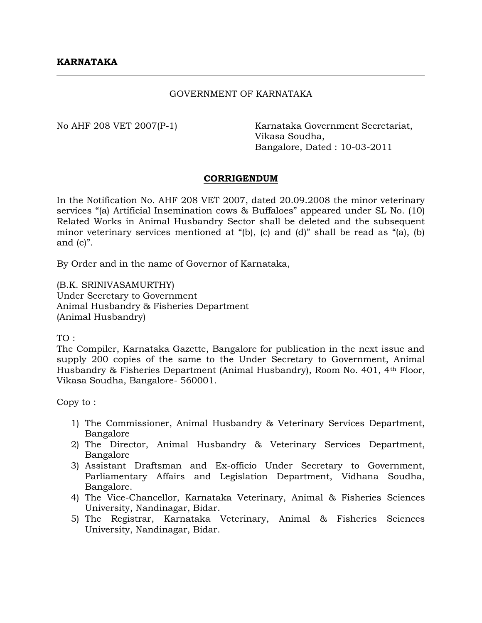## GOVERNMENT OF KARNATAKA

No AHF 208 VET 2007(P-1) Karnataka Government Secretariat, Vikasa Soudha, Bangalore, Dated : 10-03-2011

## **CORRIGENDUM**

In the Notification No. AHF 208 VET 2007, dated 20.09.2008 the minor veterinary services "(a) Artificial Insemination cows & Buffaloes" appeared under SL No. (10) Related Works in Animal Husbandry Sector shall be deleted and the subsequent minor veterinary services mentioned at "(b), (c) and (d)" shall be read as "(a), (b) and (c)".

By Order and in the name of Governor of Karnataka,

(B.K. SRINIVASAMURTHY) Under Secretary to Government Animal Husbandry & Fisheries Department (Animal Husbandry)

TO :

The Compiler, Karnataka Gazette, Bangalore for publication in the next issue and supply 200 copies of the same to the Under Secretary to Government, Animal Husbandry & Fisheries Department (Animal Husbandry), Room No. 401, 4th Floor, Vikasa Soudha, Bangalore- 560001.

Copy to :

- 1) The Commissioner, Animal Husbandry & Veterinary Services Department, Bangalore
- 2) The Director, Animal Husbandry & Veterinary Services Department, Bangalore
- 3) Assistant Draftsman and Ex-officio Under Secretary to Government, Parliamentary Affairs and Legislation Department, Vidhana Soudha, Bangalore.
- 4) The Vice-Chancellor, Karnataka Veterinary, Animal & Fisheries Sciences University, Nandinagar, Bidar.
- 5) The Registrar, Karnataka Veterinary, Animal & Fisheries Sciences University, Nandinagar, Bidar.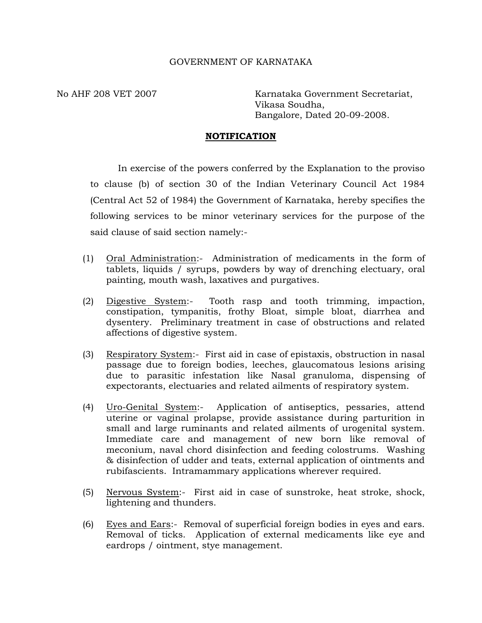## GOVERNMENT OF KARNATAKA

No AHF 208 VET 2007 Karnataka Government Secretariat, Vikasa Soudha, Bangalore, Dated 20-09-2008.

## **NOTIFICATION**

In exercise of the powers conferred by the Explanation to the proviso to clause (b) of section 30 of the Indian Veterinary Council Act 1984 (Central Act 52 of 1984) the Government of Karnataka, hereby specifies the following services to be minor veterinary services for the purpose of the said clause of said section namely:-

- (1) Oral Administration:- Administration of medicaments in the form of tablets, liquids / syrups, powders by way of drenching electuary, oral painting, mouth wash, laxatives and purgatives.
- (2) Digestive System:- Tooth rasp and tooth trimming, impaction, constipation, tympanitis, frothy Bloat, simple bloat, diarrhea and dysentery. Preliminary treatment in case of obstructions and related affections of digestive system.
- (3) Respiratory System:- First aid in case of epistaxis, obstruction in nasal passage due to foreign bodies, leeches, glaucomatous lesions arising due to parasitic infestation like Nasal granuloma, dispensing of expectorants, electuaries and related ailments of respiratory system.
- (4) Uro-Genital System:- Application of antiseptics, pessaries, attend uterine or vaginal prolapse, provide assistance during parturition in small and large ruminants and related ailments of urogenital system. Immediate care and management of new born like removal of meconium, naval chord disinfection and feeding colostrums. Washing & disinfection of udder and teats, external application of ointments and rubifascients. Intramammary applications wherever required.
- (5) Nervous System:- First aid in case of sunstroke, heat stroke, shock, lightening and thunders.
- (6) Eyes and Ears:- Removal of superficial foreign bodies in eyes and ears. Removal of ticks. Application of external medicaments like eye and eardrops / ointment, stye management.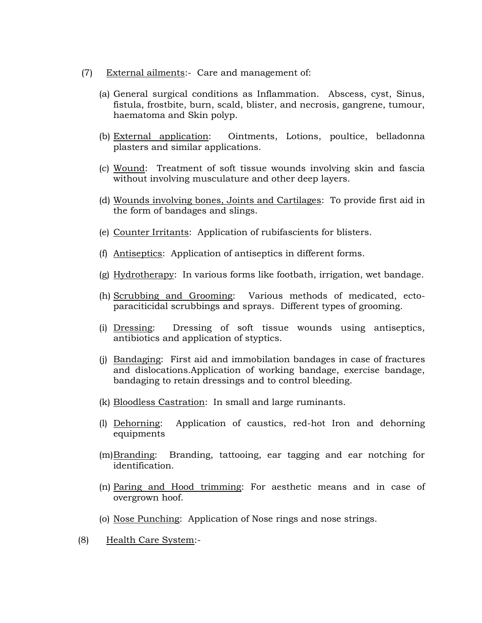- (7) External ailments:- Care and management of:
	- (a) General surgical conditions as Inflammation. Abscess, cyst, Sinus, fistula, frostbite, burn, scald, blister, and necrosis, gangrene, tumour, haematoma and Skin polyp.
	- (b) External application: Ointments, Lotions, poultice, belladonna plasters and similar applications.
	- (c) Wound: Treatment of soft tissue wounds involving skin and fascia without involving musculature and other deep layers.
	- (d) Wounds involving bones, Joints and Cartilages: To provide first aid in the form of bandages and slings.
	- (e) Counter Irritants: Application of rubifascients for blisters.
	- (f) Antiseptics: Application of antiseptics in different forms.
	- (g) Hydrotherapy: In various forms like footbath, irrigation, wet bandage.
	- (h) Scrubbing and Grooming: Various methods of medicated, ectoparaciticidal scrubbings and sprays. Different types of grooming.
	- (i) Dressing: Dressing of soft tissue wounds using antiseptics, antibiotics and application of styptics.
	- (j) Bandaging: First aid and immobilation bandages in case of fractures and dislocations.Application of working bandage, exercise bandage, bandaging to retain dressings and to control bleeding.
	- (k) Bloodless Castration: In small and large ruminants.
	- (l) Dehorning: Application of caustics, red-hot Iron and dehorning equipments
	- (m)Branding: Branding, tattooing, ear tagging and ear notching for identification.
	- (n) Paring and Hood trimming: For aesthetic means and in case of overgrown hoof.
	- (o) Nose Punching: Application of Nose rings and nose strings.
- (8) Health Care System:-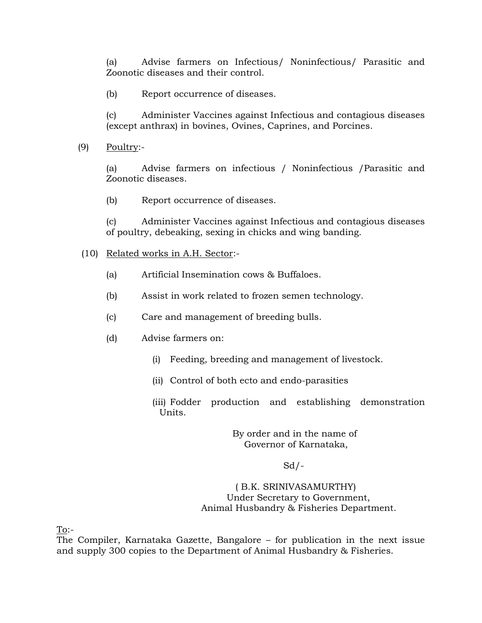(a) Advise farmers on Infectious/ Noninfectious/ Parasitic and Zoonotic diseases and their control.

(b) Report occurrence of diseases.

(c) Administer Vaccines against Infectious and contagious diseases (except anthrax) in bovines, Ovines, Caprines, and Porcines.

(9) Poultry:-

(a) Advise farmers on infectious / Noninfectious /Parasitic and Zoonotic diseases.

(b) Report occurrence of diseases.

(c) Administer Vaccines against Infectious and contagious diseases of poultry, debeaking, sexing in chicks and wing banding.

- (10) Related works in A.H. Sector:-
	- (a) Artificial Insemination cows & Buffaloes.
	- (b) Assist in work related to frozen semen technology.
	- (c) Care and management of breeding bulls.
	- (d) Advise farmers on:
		- (i) Feeding, breeding and management of livestock.
		- (ii) Control of both ecto and endo-parasities
		- (iii) Fodder production and establishing demonstration Units.

# By order and in the name of Governor of Karnataka,

# $Sd$  /-

# ( B.K. SRINIVASAMURTHY) Under Secretary to Government, Animal Husbandry & Fisheries Department.

To:-

The Compiler, Karnataka Gazette, Bangalore – for publication in the next issue and supply 300 copies to the Department of Animal Husbandry & Fisheries.